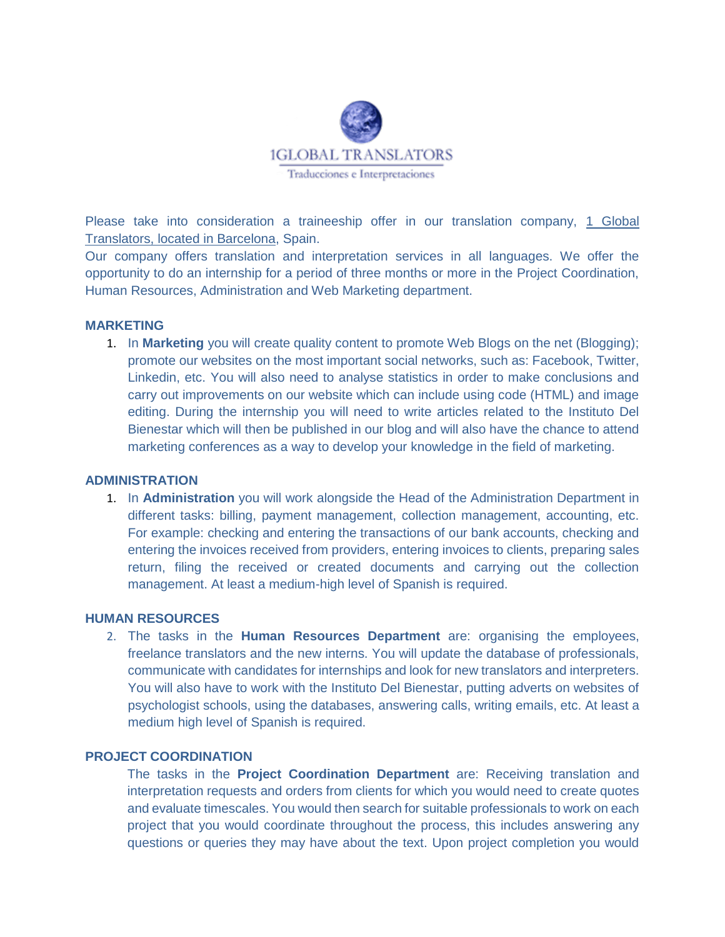

Please take into consideration a traineeship offer in our translation company, 1 Global Translators, located in Barcelona, Spain.

Our company offers translation and interpretation services in all languages. We offer the opportunity to do an internship for a period of three months or more in the Project Coordination, Human Resources, Administration and Web Marketing department.

#### **MARKETING**

1. In **Marketing** you will create quality content to promote Web Blogs on the net (Blogging); promote our websites on the most important social networks, such as: Facebook, Twitter, Linkedin, etc. You will also need to analyse statistics in order to make conclusions and carry out improvements on our website which can include using code (HTML) and image editing. During the internship you will need to write articles related to the Instituto Del Bienestar which will then be published in our blog and will also have the chance to attend marketing conferences as a way to develop your knowledge in the field of marketing.

#### **ADMINISTRATION**

1. In **Administration** you will work alongside the Head of the Administration Department in different tasks: billing, payment management, collection management, accounting, etc. For example: checking and entering the transactions of our bank accounts, checking and entering the invoices received from providers, entering invoices to clients, preparing sales return, filing the received or created documents and carrying out the collection management. At least a medium-high level of Spanish is required.

### **HUMAN RESOURCES**

2. The tasks in the **Human Resources Department** are: organising the employees, freelance translators and the new interns. You will update the database of professionals, communicate with candidates for internships and look for new translators and interpreters. You will also have to work with the Instituto Del Bienestar, putting adverts on websites of psychologist schools, using the databases, answering calls, writing emails, etc. At least a medium high level of Spanish is required.

## **PROJECT COORDINATION**

The tasks in the **Project Coordination Department** are: Receiving translation and interpretation requests and orders from clients for which you would need to create quotes and evaluate timescales. You would then search for suitable professionals to work on each project that you would coordinate throughout the process, this includes answering any questions or queries they may have about the text. Upon project completion you would